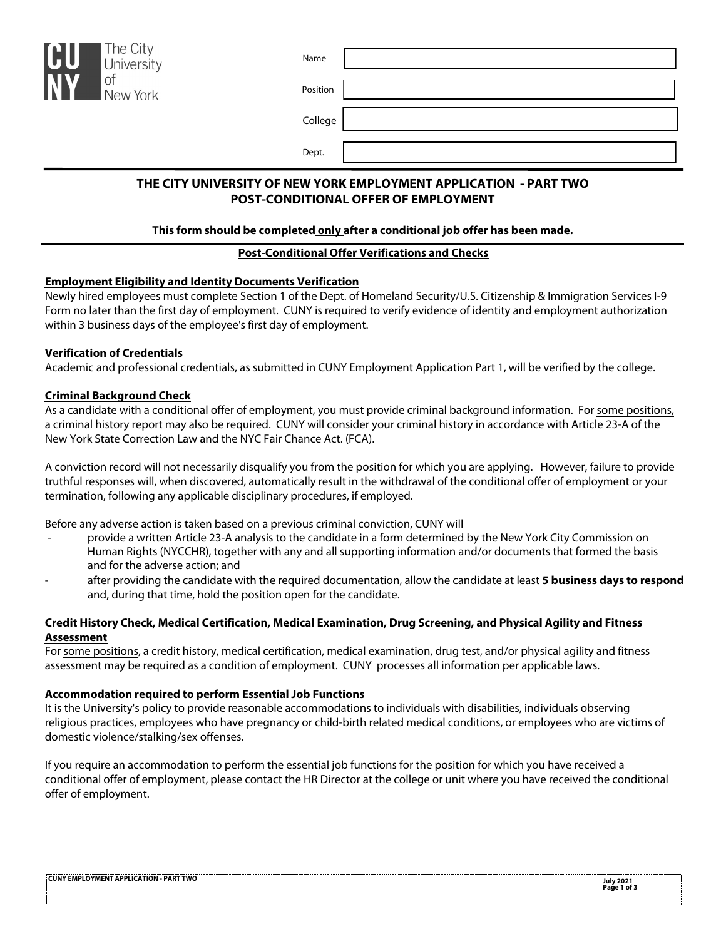| The City<br>CU<br>University                                      | Name     |  |  |  |
|-------------------------------------------------------------------|----------|--|--|--|
| NY<br>of<br>New York                                              | Position |  |  |  |
|                                                                   | College  |  |  |  |
|                                                                   | Dept.    |  |  |  |
| THE CITY UNIVERSITY OF NEW YORK EMPLOYMENT APPLICATION - PART TWO |          |  |  |  |

# **POST-CONDITIONAL OFFER OF EMPLOYMENT**

## **This form should be completed only after a conditional job offer has been made.**

# **Post-Conditional Offer Verifications and Checks**

# **Employment Eligibility and Identity Documents Verification**

Newly hired employees must complete Section 1 of the Dept. of Homeland Security/U.S. Citizenship & Immigration Services I-9 Form no later than the first day of employment. CUNY is required to verify evidence of identity and employment authorization within 3 business days of the employee's first day of employment.

# **Verification of Credentials**

Academic and professional credentials, as submitted in CUNY Employment Application Part 1, will be verified by the college.

# **Criminal Background Check**

As a candidate with a conditional offer of employment, you must provide criminal background information. For some positions, a criminal history report may also be required. CUNY will consider your criminal history in accordance with Article 23-A of the New York State Correction Law and the NYC Fair Chance Act. (FCA).

A conviction record will not necessarily disqualify you from the position for which you are applying. However, failure to provide truthful responses will, when discovered, automatically result in the withdrawal of the conditional offer of employment or your termination, following any applicable disciplinary procedures, if employed.

Before any adverse action is taken based on a previous criminal conviction, CUNY will

- provide a written Article 23-A analysis to the candidate in a form determined by the New York City Commission on Human Rights (NYCCHR), together with any and all supporting information and/or documents that formed the basis and for the adverse action; and
- after providing the candidate with the required documentation, allow the candidate at least **5 business days to respond** and, during that time, hold the position open for the candidate.

# **Credit History Check, Medical Certification, Medical Examination, Drug Screening, and Physical Agility and Fitness Assessment**

For some positions, a credit history, medical certification, medical examination, drug test, and/or physical agility and fitness assessment may be required as a condition of employment. CUNY processes all information per applicable laws.

## **Accommodation required to perform Essential Job Functions**

It is the University's policy to provide reasonable accommodations to individuals with disabilities, individuals observing religious practices, employees who have pregnancy or child-birth related medical conditions, or employees who are victims of domestic violence/stalking/sex offenses.

If you require an accommodation to perform the essential job functions for the position for which you have received a conditional offer of employment, please contact the HR Director at the college or unit where you have received the conditional offer of employment.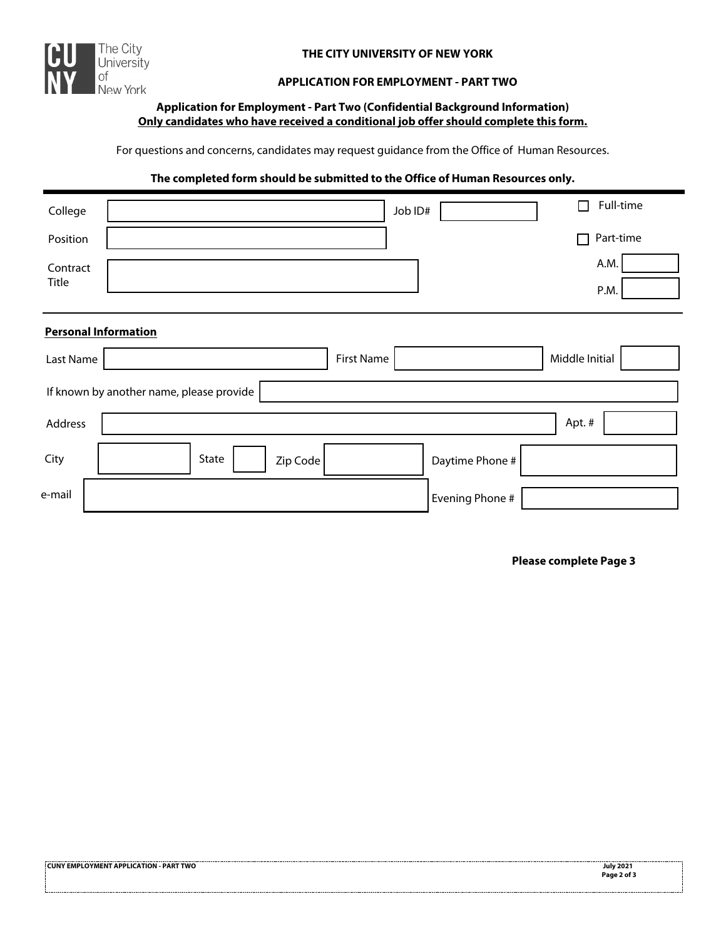

## **THE CITY UNIVERSITY OF NEW YORK**

#### **APPLICATION FOR EMPLOYMENT - PART TWO**

## **Application for Employment - Part Two (Confidential Background Information) Only candidates who have received a conditional job offer should complete this form.**

For questions and concerns, candidates may request guidance from the Office of Human Resources.

#### **The completed form should be submitted to the Office of Human Resources only.**

| College           |                                          |                   | Job ID#         | Full-time      |
|-------------------|------------------------------------------|-------------------|-----------------|----------------|
| Position          |                                          |                   |                 | Part-time<br>П |
| Contract<br>Title |                                          |                   |                 | A.M.<br>P.M.   |
|                   | <b>Personal Information</b>              |                   |                 |                |
| Last Name         |                                          | <b>First Name</b> |                 | Middle Initial |
|                   | If known by another name, please provide |                   |                 |                |
| Address           |                                          |                   |                 | Apt. #         |
| City              | State                                    | Zip Code          | Daytime Phone # |                |
| e-mail            |                                          |                   | Evening Phone # |                |

#### **Please complete Page 3**